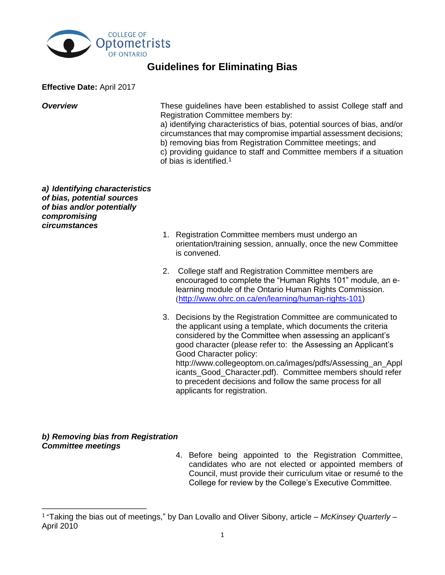

## **Guidelines for Eliminating Bias**

**Effective Date:** April 2017

**Overview These quidelines have been established to assist College staff and** Registration Committee members by:

> a) identifying characteristics of bias, potential sources of bias, and/or circumstances that may compromise impartial assessment decisions; b) removing bias from Registration Committee meetings; and

> c) providing guidance to staff and Committee members if a situation of bias is identified. 1

*a) Identifying characteristics of bias, potential sources of bias and/or potentially compromising circumstances*

- 1. Registration Committee members must undergo an orientation/training session, annually, once the new Committee is convened.
- 2. College staff and Registration Committee members are encouraged to complete the "Human Rights 101" module, an elearning module of the Ontario Human Rights Commission. ([http://www.ohrc.on.ca/en/learning/human-rights-101\)](http://www.ohrc.on.ca/en/learning/human-rights-101)
- 3. Decisions by the Registration Committee are communicated to the applicant using a template, which documents the criteria considered by the Committee when assessing an applicant's good character (please refer to: the Assessing an Applicant's Good Character policy: http://www.collegeoptom.on.ca/images/pdfs/Assessing\_an\_Appl icants Good Character.pdf). Committee members should refer to precedent decisions and follow the same process for all applicants for registration.

## *b) Removing bias from Registration Committee meetings*

l

4. Before being appointed to the Registration Committee, candidates who are not elected or appointed members of Council, must provide their curriculum vitae or resumé to the College for review by the College's Executive Committee.

<sup>1</sup> "Taking the bias out of meetings," by Dan Lovallo and Oliver Sibony, article – *McKinsey Quarterly* – April 2010